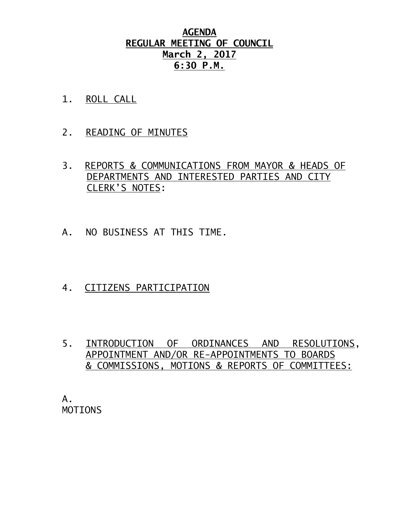## **AGENDA REGULAR MEETING OF COUNCIL March 2, 2017 6:30 P.M.**

- 1. ROLL CALL
- 2. READING OF MINUTES
- 3. REPORTS & COMMUNICATIONS FROM MAYOR & HEADS OF DEPARTMENTS AND INTERESTED PARTIES AND CITY CLERK'S NOTES:
- A. NO BUSINESS AT THIS TIME.
- 4. CITIZENS PARTICIPATION
- 5. INTRODUCTION OF ORDINANCES AND RESOLUTIONS, APPOINTMENT AND/OR RE-APPOINTMENTS TO BOARDS & COMMISSIONS, MOTIONS & REPORTS OF COMMITTEES:

A. MOTIONS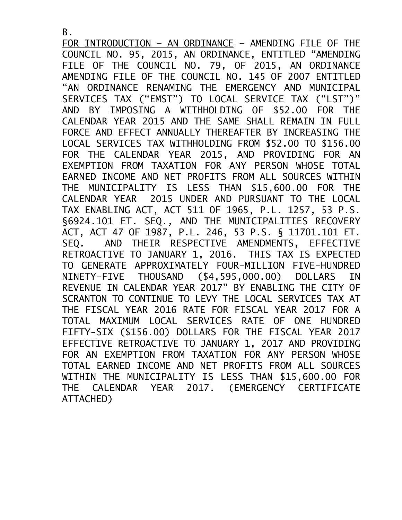FOR INTRODUCTION – AN ORDINANCE – AMENDING FILE OF THE COUNCIL NO. 95, 2015, AN ORDINANCE, ENTITLED "AMENDING FILE OF THE COUNCIL NO. 79, OF 2015, AN ORDINANCE AMENDING FILE OF THE COUNCIL NO. 145 OF 2007 ENTITLED "AN ORDINANCE RENAMING THE EMERGENCY AND MUNICIPAL SERVICES TAX ("EMST") TO LOCAL SERVICE TAX ("LST")" AND BY IMPOSING A WITHHOLDING OF \$52.00 FOR THE CALENDAR YEAR 2015 AND THE SAME SHALL REMAIN IN FULL FORCE AND EFFECT ANNUALLY THEREAFTER BY INCREASING THE LOCAL SERVICES TAX WITHHOLDING FROM \$52.00 TO \$156.00 FOR THE CALENDAR YEAR 2015, AND PROVIDING FOR AN EXEMPTION FROM TAXATION FOR ANY PERSON WHOSE TOTAL EARNED INCOME AND NET PROFITS FROM ALL SOURCES WITHIN THE MUNICIPALITY IS LESS THAN \$15,600.00 FOR THE CALENDAR YEAR 2015 UNDER AND PURSUANT TO THE LOCAL TAX ENABLING ACT, ACT 511 OF 1965, P.L. 1257, 53 P.S. §6924.101 ET*.* SEQ*.,* AND THE MUNICIPALITIES RECOVERY ACT, ACT 47 OF 1987, P.L. 246, 53 P.S. § 11701.101 ET. SEQ*.* AND THEIR RESPECTIVE AMENDMENTS, EFFECTIVE RETROACTIVE TO JANUARY 1, 2016. THIS TAX IS EXPECTED TO GENERATE APPROXIMATELY FOUR-MILLION FIVE-HUNDRED NINETY-FIVE THOUSAND (\$4,595,000.00) DOLLARS IN REVENUE IN CALENDAR YEAR 2017" BY ENABLING THE CITY OF SCRANTON TO CONTINUE TO LEVY THE LOCAL SERVICES TAX AT THE FISCAL YEAR 2016 RATE FOR FISCAL YEAR 2017 FOR A TOTAL MAXIMUM LOCAL SERVICES RATE OF ONE HUNDRED FIFTY-SIX (\$156.00) DOLLARS FOR THE FISCAL YEAR 2017 EFFECTIVE RETROACTIVE TO JANUARY 1, 2017 AND PROVIDING FOR AN EXEMPTION FROM TAXATION FOR ANY PERSON WHOSE TOTAL EARNED INCOME AND NET PROFITS FROM ALL SOURCES WITHIN THE MUNICIPALITY IS LESS THAN \$15,600.00 FOR THE CALENDAR YEAR 2017. (EMERGENCY CERTIFICATE ATTACHED)

B.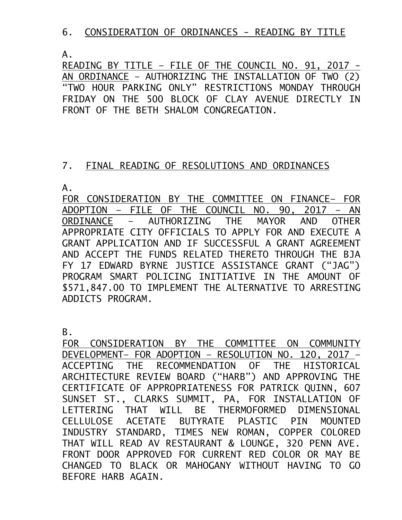## 6. CONSIDERATION OF ORDINANCES - READING BY TITLE

 $A<sub>-</sub>$ 

READING BY TITLE – FILE OF THE COUNCIL NO. 91, 2017 - AN ORDINANCE – AUTHORIZING THE INSTALLATION OF TWO (2) "TWO HOUR PARKING ONLY" RESTRICTIONS MONDAY THROUGH FRIDAY ON THE 500 BLOCK OF CLAY AVENUE DIRECTLY IN FRONT OF THE BETH SHALOM CONGREGATION.

## 7. FINAL READING OF RESOLUTIONS AND ORDINANCES

A.

FOR CONSIDERATION BY THE COMMITTEE ON FINANCE– FOR ADOPTION – FILE OF THE COUNCIL NO. 90, 2017 – AN ORDINANCE – AUTHORIZING THE MAYOR AND OTHER APPROPRIATE CITY OFFICIALS TO APPLY FOR AND EXECUTE A GRANT APPLICATION AND IF SUCCESSFUL A GRANT AGREEMENT AND ACCEPT THE FUNDS RELATED THERETO THROUGH THE BJA FY 17 EDWARD BYRNE JUSTICE ASSISTANCE GRANT ("JAG") PROGRAM SMART POLICING INITIATIVE IN THE AMOUNT OF \$571,847.00 TO IMPLEMENT THE ALTERNATIVE TO ARRESTING ADDICTS PROGRAM.

B.

FOR CONSIDERATION BY THE COMMITTEE ON COMMUNITY DEVELOPMENT– FOR ADOPTION – RESOLUTION NO. 120, 2017 – ACCEPTING THE RECOMMENDATION OF THE HISTORICAL ARCHITECTURE REVIEW BOARD ("HARB") AND APPROVING THE CERTIFICATE OF APPROPRIATENESS FOR PATRICK QUINN, 607 SUNSET ST., CLARKS SUMMIT, PA, FOR INSTALLATION OF LETTERING THAT WILL BE THERMOFORMED DIMENSIONAL CELLULOSE ACETATE BUTYRATE PLASTIC PIN MOUNTED INDUSTRY STANDARD, TIMES NEW ROMAN, COPPER COLORED THAT WILL READ AV RESTAURANT & LOUNGE, 320 PENN AVE. FRONT DOOR APPROVED FOR CURRENT RED COLOR OR MAY BE CHANGED TO BLACK OR MAHOGANY WITHOUT HAVING TO GO BEFORE HARB AGAIN.